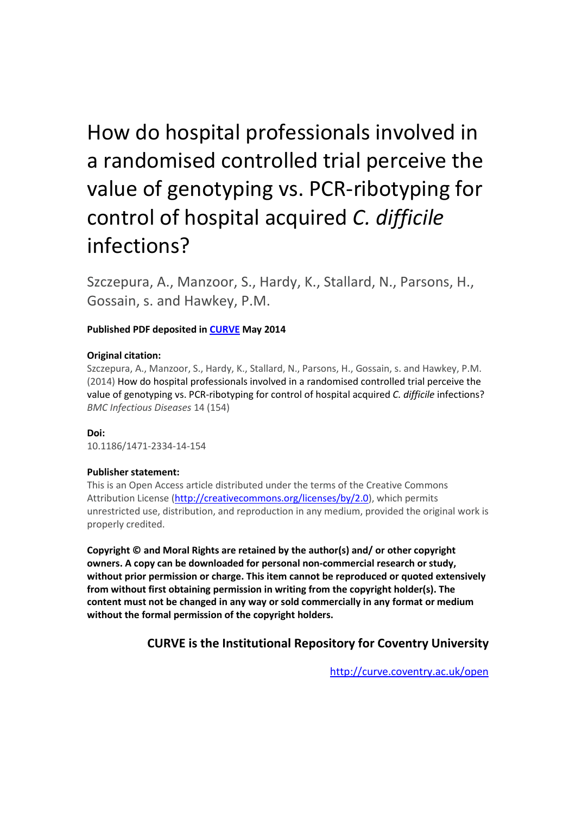# How do hospital professionals involved in a randomised controlled trial perceive the value of genotyping vs. PCR-ribotyping for control of hospital acquired *C. difficile* infections?

Szczepura, A., Manzoor, S., Hardy, K., Stallard, N., Parsons, H., Gossain, s. and Hawkey, P.M.

# **Published PDF deposited in [CURVE](http://curve.coventry.ac.uk/open) May 2014**

# **Original citation:**

Szczepura, A., Manzoor, S., Hardy, K., Stallard, N., Parsons, H., Gossain, s. and Hawkey, P.M. (2014) How do hospital professionals involved in a randomised controlled trial perceive the value of genotyping vs. PCR-ribotyping for control of hospital acquired *C. difficile* infections? *BMC Infectious Diseases* 14 (154)

# **Doi:**

10.1186/1471-2334-14-154

# **Publisher statement:**

This is an Open Access article distributed under the terms of the Creative Commons Attribution License [\(http://creativecommons.org/licenses/by/2.0\)](http://creativecommons.org/licenses/by/2.0), which permits unrestricted use, distribution, and reproduction in any medium, provided the original work is properly credited.

**Copyright © and Moral Rights are retained by the author(s) and/ or other copyright owners. A copy can be downloaded for personal non-commercial research or study, without prior permission or charge. This item cannot be reproduced or quoted extensively from without first obtaining permission in writing from the copyright holder(s). The content must not be changed in any way or sold commercially in any format or medium without the formal permission of the copyright holders.**

# **CURVE is the Institutional Repository for Coventry University**

<http://curve.coventry.ac.uk/open>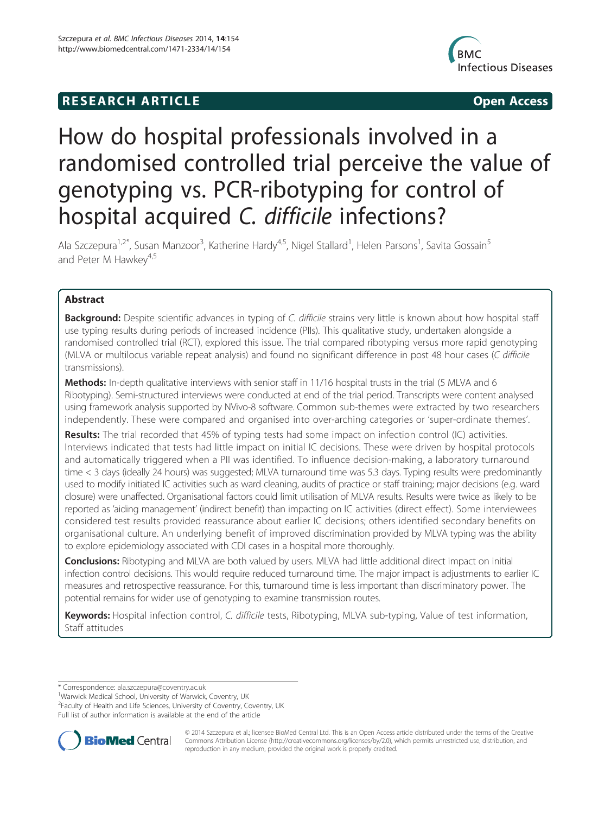# **RESEARCH ARTICLE Example 2018 12:00 Open Access**



# How do hospital professionals involved in a randomised controlled trial perceive the value of genotyping vs. PCR-ribotyping for control of hospital acquired C. difficile infections?

Ala Szczepura<sup>1,2\*</sup>, Susan Manzoor<sup>3</sup>, Katherine Hardy<sup>4,5</sup>, Nigel Stallard<sup>1</sup>, Helen Parsons<sup>1</sup>, Savita Gossain<sup>5</sup> and Peter M Hawkey<sup>4,5</sup>

# Abstract

Background: Despite scientific advances in typing of C. difficile strains very little is known about how hospital staff use typing results during periods of increased incidence (PIIs). This qualitative study, undertaken alongside a randomised controlled trial (RCT), explored this issue. The trial compared ribotyping versus more rapid genotyping (MLVA or multilocus variable repeat analysis) and found no significant difference in post 48 hour cases (C difficile transmissions).

Methods: In-depth qualitative interviews with senior staff in 11/16 hospital trusts in the trial (5 MLVA and 6 Ribotyping). Semi-structured interviews were conducted at end of the trial period. Transcripts were content analysed using framework analysis supported by NVivo-8 software. Common sub-themes were extracted by two researchers independently. These were compared and organised into over-arching categories or 'super-ordinate themes'.

Results: The trial recorded that 45% of typing tests had some impact on infection control (IC) activities. Interviews indicated that tests had little impact on initial IC decisions. These were driven by hospital protocols and automatically triggered when a PII was identified. To influence decision-making, a laboratory turnaround time < 3 days (ideally 24 hours) was suggested; MLVA turnaround time was 5.3 days. Typing results were predominantly used to modify initiated IC activities such as ward cleaning, audits of practice or staff training; major decisions (e.g. ward closure) were unaffected. Organisational factors could limit utilisation of MLVA results. Results were twice as likely to be reported as 'aiding management' (indirect benefit) than impacting on IC activities (direct effect). Some interviewees considered test results provided reassurance about earlier IC decisions; others identified secondary benefits on organisational culture. An underlying benefit of improved discrimination provided by MLVA typing was the ability to explore epidemiology associated with CDI cases in a hospital more thoroughly.

Conclusions: Ribotyping and MLVA are both valued by users. MLVA had little additional direct impact on initial infection control decisions. This would require reduced turnaround time. The major impact is adjustments to earlier IC measures and retrospective reassurance. For this, turnaround time is less important than discriminatory power. The potential remains for wider use of genotyping to examine transmission routes.

Keywords: Hospital infection control, C. difficile tests, Ribotyping, MLVA sub-typing, Value of test information, Staff attitudes

\* Correspondence: [ala.szczepura@coventry.ac.uk](mailto:ala.szczepura@coventry.ac.uk) <sup>1</sup>

Full list of author information is available at the end of the article



© 2014 Szczepura et al.; licensee BioMed Central Ltd. This is an Open Access article distributed under the terms of the Creative Commons Attribution License [\(http://creativecommons.org/licenses/by/2.0\)](http://creativecommons.org/licenses/by/2.0), which permits unrestricted use, distribution, and reproduction in any medium, provided the original work is properly credited.

<sup>&</sup>lt;sup>1</sup>Warwick Medical School, University of Warwick, Coventry, UK

<sup>&</sup>lt;sup>2</sup> Faculty of Health and Life Sciences, University of Coventry, Coventry, UK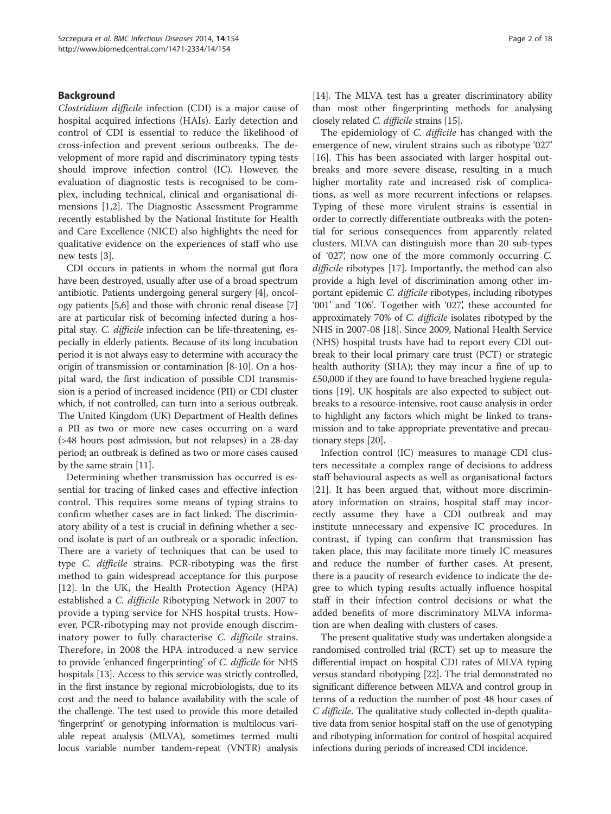#### Background

Clostridium difficile infection (CDI) is a major cause of hospital acquired infections (HAIs). Early detection and control of CDI is essential to reduce the likelihood of cross-infection and prevent serious outbreaks. The development of more rapid and discriminatory typing tests should improve infection control (IC). However, the evaluation of diagnostic tests is recognised to be complex, including technical, clinical and organisational dimensions [\[1](#page-17-0),[2](#page-17-0)]. The Diagnostic Assessment Programme recently established by the National Institute for Health and Care Excellence (NICE) also highlights the need for qualitative evidence on the experiences of staff who use new tests [[3\]](#page-17-0).

CDI occurs in patients in whom the normal gut flora have been destroyed, usually after use of a broad spectrum antibiotic. Patients undergoing general surgery [[4](#page-17-0)], oncology patients [\[5,6](#page-17-0)] and those with chronic renal disease [[7](#page-17-0)] are at particular risk of becoming infected during a hospital stay. C. difficile infection can be life-threatening, especially in elderly patients. Because of its long incubation period it is not always easy to determine with accuracy the origin of transmission or contamination [[8-10\]](#page-17-0). On a hospital ward, the first indication of possible CDI transmission is a period of increased incidence (PII) or CDI cluster which, if not controlled, can turn into a serious outbreak. The United Kingdom (UK) Department of Health defines a PII as two or more new cases occurring on a ward (>48 hours post admission, but not relapses) in a 28-day period; an outbreak is defined as two or more cases caused by the same strain [\[11\]](#page-17-0).

Determining whether transmission has occurred is essential for tracing of linked cases and effective infection control. This requires some means of typing strains to confirm whether cases are in fact linked. The discriminatory ability of a test is crucial in defining whether a second isolate is part of an outbreak or a sporadic infection. There are a variety of techniques that can be used to type C. difficile strains. PCR-ribotyping was the first method to gain widespread acceptance for this purpose [[12\]](#page-17-0). In the UK, the Health Protection Agency (HPA) established a C. difficile Ribotyping Network in 2007 to provide a typing service for NHS hospital trusts. However, PCR-ribotyping may not provide enough discriminatory power to fully characterise C. difficile strains. Therefore, in 2008 the HPA introduced a new service to provide 'enhanced fingerprinting' of C. difficile for NHS hospitals [\[13\]](#page-17-0). Access to this service was strictly controlled, in the first instance by regional microbiologists, due to its cost and the need to balance availability with the scale of the challenge. The test used to provide this more detailed 'fingerprint' or genotyping information is multilocus variable repeat analysis (MLVA), sometimes termed multi locus variable number tandem-repeat (VNTR) analysis [[14](#page-17-0)]. The MLVA test has a greater discriminatory ability than most other fingerprinting methods for analysing closely related C. difficile strains [\[15\]](#page-17-0).

The epidemiology of C. difficile has changed with the emergence of new, virulent strains such as ribotype '027' [[16\]](#page-17-0). This has been associated with larger hospital outbreaks and more severe disease, resulting in a much higher mortality rate and increased risk of complications, as well as more recurrent infections or relapses. Typing of these more virulent strains is essential in order to correctly differentiate outbreaks with the potential for serious consequences from apparently related clusters. MLVA can distinguish more than 20 sub-types of '027', now one of the more commonly occurring C. difficile ribotypes [[17](#page-17-0)]. Importantly, the method can also provide a high level of discrimination among other important epidemic C. difficile ribotypes, including ribotypes '001' and '106'. Together with '027', these accounted for approximately 70% of C. difficile isolates ribotyped by the NHS in 2007-08 [[18](#page-17-0)]. Since 2009, National Health Service (NHS) hospital trusts have had to report every CDI outbreak to their local primary care trust (PCT) or strategic health authority (SHA); they may incur a fine of up to £50,000 if they are found to have breached hygiene regulations [\[19\]](#page-17-0). UK hospitals are also expected to subject outbreaks to a resource-intensive, root cause analysis in order to highlight any factors which might be linked to transmission and to take appropriate preventative and precautionary steps [\[20\]](#page-17-0).

Infection control (IC) measures to manage CDI clusters necessitate a complex range of decisions to address staff behavioural aspects as well as organisational factors [[21\]](#page-17-0). It has been argued that, without more discriminatory information on strains, hospital staff may incorrectly assume they have a CDI outbreak and may institute unnecessary and expensive IC procedures. In contrast, if typing can confirm that transmission has taken place, this may facilitate more timely IC measures and reduce the number of further cases. At present, there is a paucity of research evidence to indicate the degree to which typing results actually influence hospital staff in their infection control decisions or what the added benefits of more discriminatory MLVA information are when dealing with clusters of cases.

The present qualitative study was undertaken alongside a randomised controlled trial (RCT) set up to measure the differential impact on hospital CDI rates of MLVA typing versus standard ribotyping [\[22](#page-17-0)]. The trial demonstrated no significant difference between MLVA and control group in terms of a reduction the number of post 48 hour cases of C difficile. The qualitative study collected in-depth qualitative data from senior hospital staff on the use of genotyping and ribotyping information for control of hospital acquired infections during periods of increased CDI incidence.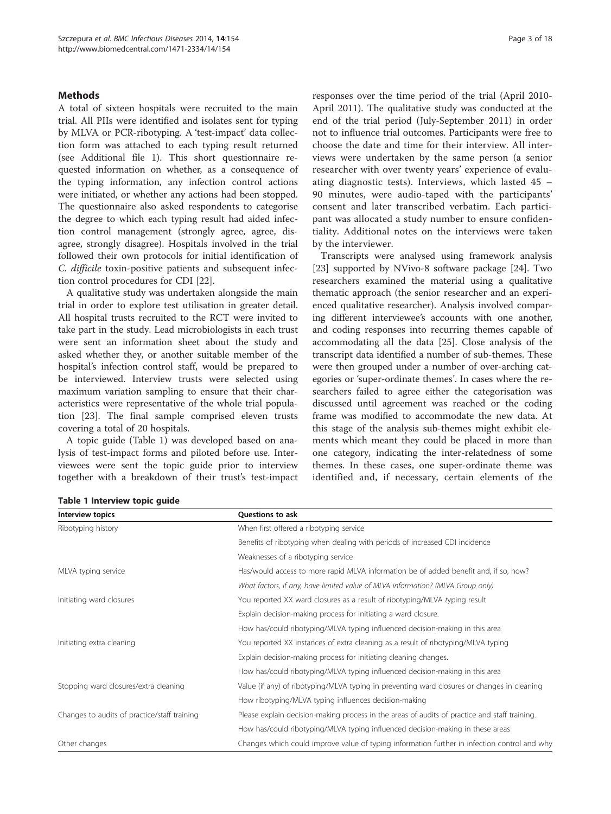### **Methods**

A total of sixteen hospitals were recruited to the main trial. All PIIs were identified and isolates sent for typing by MLVA or PCR-ribotyping. A 'test-impact' data collection form was attached to each typing result returned (see Additional file [1\)](#page-16-0). This short questionnaire requested information on whether, as a consequence of the typing information, any infection control actions were initiated, or whether any actions had been stopped. The questionnaire also asked respondents to categorise the degree to which each typing result had aided infection control management (strongly agree, agree, disagree, strongly disagree). Hospitals involved in the trial followed their own protocols for initial identification of C. difficile toxin-positive patients and subsequent infection control procedures for CDI [\[22](#page-17-0)].

A qualitative study was undertaken alongside the main trial in order to explore test utilisation in greater detail. All hospital trusts recruited to the RCT were invited to take part in the study. Lead microbiologists in each trust were sent an information sheet about the study and asked whether they, or another suitable member of the hospital's infection control staff, would be prepared to be interviewed. Interview trusts were selected using maximum variation sampling to ensure that their characteristics were representative of the whole trial population [[23](#page-17-0)]. The final sample comprised eleven trusts covering a total of 20 hospitals.

A topic guide (Table 1) was developed based on analysis of test-impact forms and piloted before use. Interviewees were sent the topic guide prior to interview together with a breakdown of their trust's test-impact responses over the time period of the trial (April 2010- April 2011). The qualitative study was conducted at the end of the trial period (July-September 2011) in order not to influence trial outcomes. Participants were free to choose the date and time for their interview. All interviews were undertaken by the same person (a senior researcher with over twenty years' experience of evaluating diagnostic tests). Interviews, which lasted 45 – 90 minutes, were audio-taped with the participants' consent and later transcribed verbatim. Each participant was allocated a study number to ensure confidentiality. Additional notes on the interviews were taken by the interviewer.

Transcripts were analysed using framework analysis [[23\]](#page-17-0) supported by NVivo-8 software package [[24\]](#page-17-0). Two researchers examined the material using a qualitative thematic approach (the senior researcher and an experienced qualitative researcher). Analysis involved comparing different interviewee's accounts with one another, and coding responses into recurring themes capable of accommodating all the data [[25\]](#page-17-0). Close analysis of the transcript data identified a number of sub-themes. These were then grouped under a number of over-arching categories or 'super-ordinate themes'. In cases where the researchers failed to agree either the categorisation was discussed until agreement was reached or the coding frame was modified to accommodate the new data. At this stage of the analysis sub-themes might exhibit elements which meant they could be placed in more than one category, indicating the inter-relatedness of some themes. In these cases, one super-ordinate theme was identified and, if necessary, certain elements of the

| Interview topics                             | <b>Ouestions to ask</b>                                                                       |
|----------------------------------------------|-----------------------------------------------------------------------------------------------|
| Ribotyping history                           | When first offered a ribotyping service                                                       |
|                                              | Benefits of ribotyping when dealing with periods of increased CDI incidence                   |
|                                              | Weaknesses of a ribotyping service                                                            |
| MLVA typing service                          | Has/would access to more rapid MLVA information be of added benefit and, if so, how?          |
|                                              | What factors, if any, have limited value of MLVA information? (MLVA Group only)               |
| Initiating ward closures                     | You reported XX ward closures as a result of ribotyping/MLVA typing result                    |
|                                              | Explain decision-making process for initiating a ward closure.                                |
|                                              | How has/could ribotyping/MLVA typing influenced decision-making in this area                  |
| Initiating extra cleaning                    | You reported XX instances of extra cleaning as a result of ribotyping/MLVA typing             |
|                                              | Explain decision-making process for initiating cleaning changes.                              |
|                                              | How has/could ribotyping/MLVA typing influenced decision-making in this area                  |
| Stopping ward closures/extra cleaning        | Value (if any) of ribotyping/MLVA typing in preventing ward closures or changes in cleaning   |
|                                              | How ribotyping/MLVA typing influences decision-making                                         |
| Changes to audits of practice/staff training | Please explain decision-making process in the areas of audits of practice and staff training. |
|                                              | How has/could ribotyping/MLVA typing influenced decision-making in these areas                |
| Other changes                                | Changes which could improve value of typing information further in infection control and why  |

#### Table 1 Interview topic guide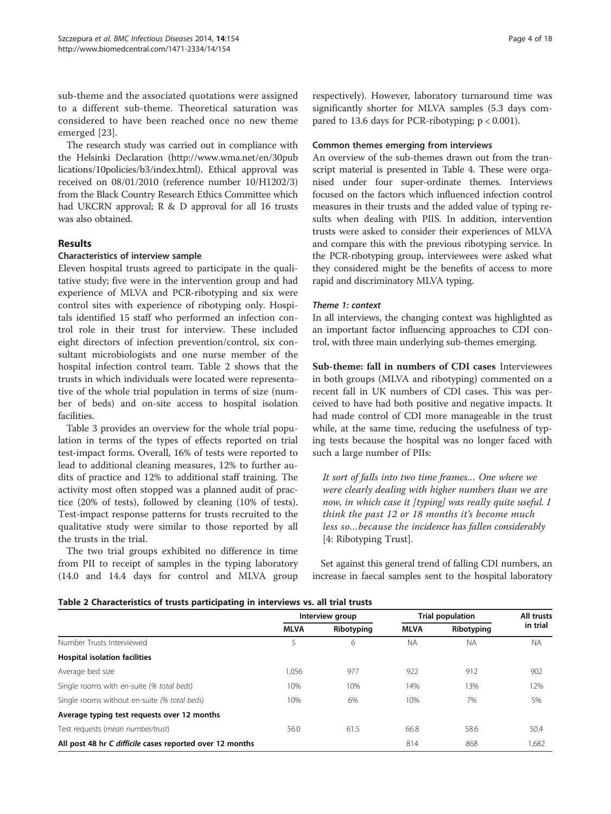sub-theme and the associated quotations were assigned to a different sub-theme. Theoretical saturation was considered to have been reached once no new theme emerged [[23](#page-17-0)].

The research study was carried out in compliance with the Helsinki Declaration [\(http://www.wma.net/en/30pub](http://www.wma.net/en/30publications/10policies/b3/index.html) [lications/10policies/b3/index.html](http://www.wma.net/en/30publications/10policies/b3/index.html)). Ethical approval was received on 08/01/2010 (reference number 10/H1202/3) from the Black Country Research Ethics Committee which had UKCRN approval; R & D approval for all 16 trusts was also obtained.

## Results

### Characteristics of interview sample

Eleven hospital trusts agreed to participate in the qualitative study; five were in the intervention group and had experience of MLVA and PCR-ribotyping and six were control sites with experience of ribotyping only. Hospitals identified 15 staff who performed an infection control role in their trust for interview. These included eight directors of infection prevention/control, six consultant microbiologists and one nurse member of the hospital infection control team. Table 2 shows that the trusts in which individuals were located were representative of the whole trial population in terms of size (number of beds) and on-site access to hospital isolation facilities.

Table [3](#page-5-0) provides an overview for the whole trial population in terms of the types of effects reported on trial test-impact forms. Overall, 16% of tests were reported to lead to additional cleaning measures, 12% to further audits of practice and 12% to additional staff training. The activity most often stopped was a planned audit of practice (20% of tests), followed by cleaning (10% of tests). Test-impact response patterns for trusts recruited to the qualitative study were similar to those reported by all the trusts in the trial.

The two trial groups exhibited no difference in time from PII to receipt of samples in the typing laboratory (14.0 and 14.4 days for control and MLVA group

respectively). However, laboratory turnaround time was significantly shorter for MLVA samples (5.3 days compared to 13.6 days for PCR-ribotyping;  $p < 0.001$ ).

#### Common themes emerging from interviews

An overview of the sub-themes drawn out from the transcript material is presented in Table [4](#page-5-0). These were organised under four super-ordinate themes. Interviews focused on the factors which influenced infection control measures in their trusts and the added value of typing results when dealing with PIIS. In addition, intervention trusts were asked to consider their experiences of MLVA and compare this with the previous ribotyping service. In the PCR-ribotyping group, interviewees were asked what they considered might be the benefits of access to more rapid and discriminatory MLVA typing.

### Theme 1: context

In all interviews, the changing context was highlighted as an important factor influencing approaches to CDI control, with three main underlying sub-themes emerging.

Sub-theme: fall in numbers of CDI cases Interviewees in both groups (MLVA and ribotyping) commented on a recent fall in UK numbers of CDI cases. This was perceived to have had both positive and negative impacts. It had made control of CDI more manageable in the trust while, at the same time, reducing the usefulness of typing tests because the hospital was no longer faced with such a large number of PIIs:

It sort of falls into two time frames… One where we were clearly dealing with higher numbers than we are now, in which case it [typing] was really quite useful. I think the past 12 or 18 months it's become much less so…because the incidence has fallen considerably [4: Ribotyping Trust].

Set against this general trend of falling CDI numbers, an increase in faecal samples sent to the hospital laboratory

| Table 2 Characteristics of trusts participating in interviews vs. all trial trusts |                 |  |
|------------------------------------------------------------------------------------|-----------------|--|
|                                                                                    | Interview group |  |

|                                                          | Interview group |            | <b>Trial population</b> |            | All trusts |
|----------------------------------------------------------|-----------------|------------|-------------------------|------------|------------|
|                                                          | <b>MLVA</b>     | Ribotyping | <b>MLVA</b>             | Ribotyping | in trial   |
| Number Trusts Interviewed                                | 5               | 6          | <b>NA</b>               | <b>NA</b>  | <b>NA</b>  |
| <b>Hospital isolation facilities</b>                     |                 |            |                         |            |            |
| Average bed size                                         | 1,056           | 977        | 922                     | 912        | 902        |
| Single rooms with en-suite (% total beds)                | 10%             | 10%        | 14%                     | 13%        | 12%        |
| Single rooms without en-suite (% total beds)             | 10%             | 6%         | 10%                     | 7%         | 5%         |
| Average typing test requests over 12 months              |                 |            |                         |            |            |
| Test requests (mean number/trust)                        | 56.0            | 61.5       | 66.8                    | 58.6       | 50.4       |
| All post 48 hr C difficile cases reported over 12 months |                 |            | 814                     | 868        | 1,682      |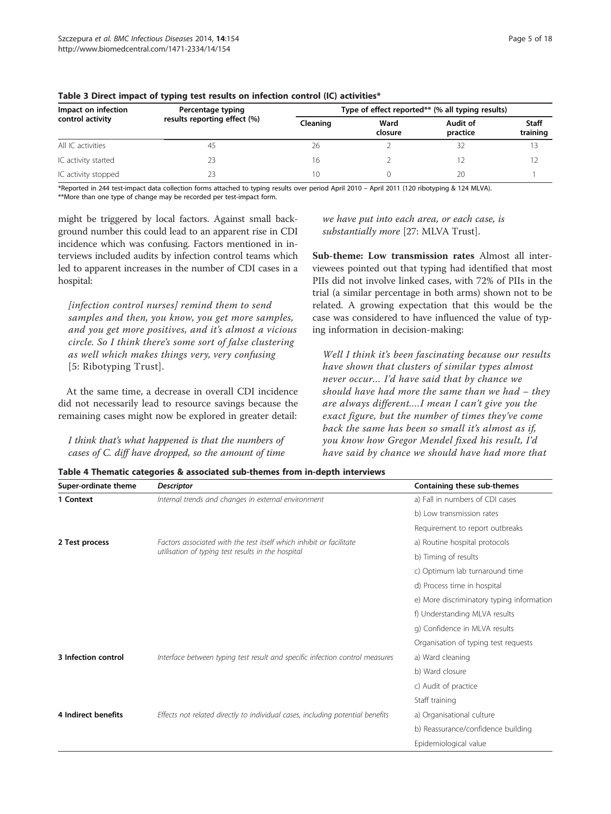| Impact on infection<br>control activity | Percentage typing<br>results reporting effect (%) | Type of effect reported** (% all typing results) |                 |                      |                   |
|-----------------------------------------|---------------------------------------------------|--------------------------------------------------|-----------------|----------------------|-------------------|
|                                         |                                                   | Cleaning                                         | Ward<br>closure | Audit of<br>practice | Staff<br>training |
| All IC activities                       | 45                                                | 26                                               |                 |                      |                   |
| IC activity started                     | 23                                                | 16                                               |                 |                      |                   |
| IC activity stopped                     |                                                   |                                                  |                 | 20                   |                   |

#### <span id="page-5-0"></span>Table 3 Direct impact of typing test results on infection control (IC) activities\*

\*Reported in 244 test-impact data collection forms attached to typing results over period April 2010 – April 2011 (120 ribotyping & 124 MLVA). \*\*More than one type of change may be recorded per test-impact form.

might be triggered by local factors. Against small background number this could lead to an apparent rise in CDI incidence which was confusing. Factors mentioned in interviews included audits by infection control teams which led to apparent increases in the number of CDI cases in a hospital:

[infection control nurses] remind them to send samples and then, you know, you get more samples, and you get more positives, and it's almost a vicious circle. So I think there's some sort of false clustering as well which makes things very, very confusing [5: Ribotyping Trust].

At the same time, a decrease in overall CDI incidence did not necessarily lead to resource savings because the remaining cases might now be explored in greater detail:

I think that's what happened is that the numbers of cases of C. diff have dropped, so the amount of time we have put into each area, or each case, is substantially more [27: MLVA Trust].

Sub-theme: Low transmission rates Almost all interviewees pointed out that typing had identified that most PIIs did not involve linked cases, with 72% of PIIs in the trial (a similar percentage in both arms) shown not to be related. A growing expectation that this would be the case was considered to have influenced the value of typing information in decision-making:

Well I think it's been fascinating because our results have shown that clusters of similar types almost never occur… I'd have said that by chance we should have had more the same than we had  $-$  they are always different.…I mean I can't give you the exact figure, but the number of times they've come back the same has been so small it's almost as if, you know how Gregor Mendel fixed his result, I'd have said by chance we should have had more that

Table 4 Thematic categories & associated sub-themes from in-depth interviews

| Super-ordinate theme | <b>Descriptor</b>                                                                                                         | Containing these sub-themes               |  |
|----------------------|---------------------------------------------------------------------------------------------------------------------------|-------------------------------------------|--|
| 1 Context            | Internal trends and changes in external environment                                                                       | a) Fall in numbers of CDI cases           |  |
|                      |                                                                                                                           | b) Low transmission rates                 |  |
|                      |                                                                                                                           | Requirement to report outbreaks           |  |
| 2 Test process       | Factors associated with the test itself which inhibit or facilitate<br>utilisation of typing test results in the hospital | a) Routine hospital protocols             |  |
|                      |                                                                                                                           | b) Timing of results                      |  |
|                      |                                                                                                                           | c) Optimum lab turnaround time            |  |
|                      |                                                                                                                           | d) Process time in hospital               |  |
|                      |                                                                                                                           | e) More discriminatory typing information |  |
|                      |                                                                                                                           | f) Understanding MLVA results             |  |
|                      |                                                                                                                           | g) Confidence in MLVA results             |  |
|                      |                                                                                                                           | Organisation of typing test requests      |  |
| 3 Infection control  | Interface between typing test result and specific infection control measures                                              | a) Ward cleaning                          |  |
|                      |                                                                                                                           | b) Ward closure<br>c) Audit of practice   |  |
|                      |                                                                                                                           |                                           |  |
|                      |                                                                                                                           | Staff training                            |  |
| 4 Indirect benefits  | Effects not related directly to individual cases, including potential benefits                                            | a) Organisational culture                 |  |
|                      |                                                                                                                           | b) Reassurance/confidence building        |  |
|                      |                                                                                                                           | Epidemiological value                     |  |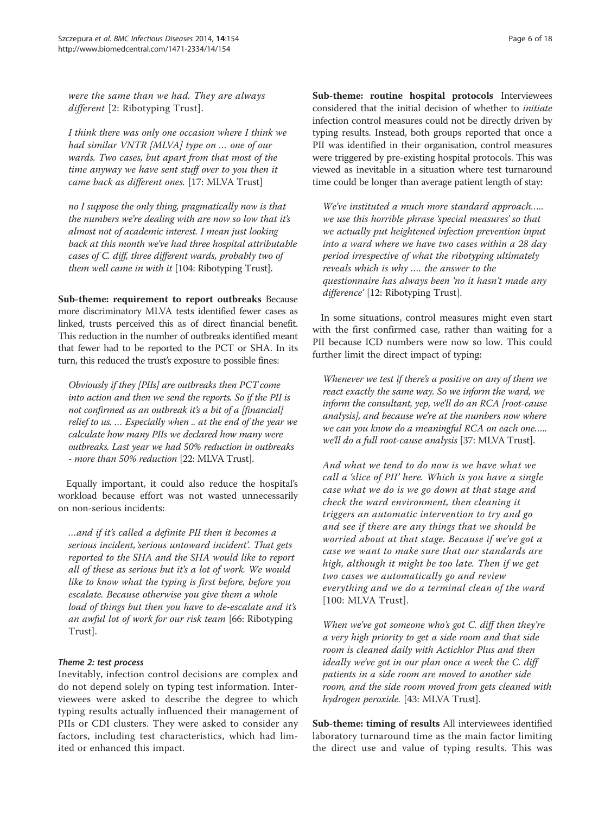were the same than we had. They are always different [2: Ribotyping Trust].

I think there was only one occasion where I think we had similar VNTR [MLVA] type on … one of our wards. Two cases, but apart from that most of the time anyway we have sent stuff over to you then it came back as different ones. [17: MLVA Trust]

no I suppose the only thing, pragmatically now is that the numbers we're dealing with are now so low that it's almost not of academic interest. I mean just looking back at this month we've had three hospital attributable cases of C. diff, three different wards, probably two of them well came in with it [104: Ribotyping Trust].

Sub-theme: requirement to report outbreaks Because more discriminatory MLVA tests identified fewer cases as linked, trusts perceived this as of direct financial benefit. This reduction in the number of outbreaks identified meant that fewer had to be reported to the PCT or SHA. In its turn, this reduced the trust's exposure to possible fines:

Obviously if they [PIIs] are outbreaks then PCT come into action and then we send the reports. So if the PII is not confirmed as an outbreak it's a bit of a [financial] relief to us. … Especially when .. at the end of the year we calculate how many PIIs we declared how many were outbreaks. Last year we had 50% reduction in outbreaks - more than 50% reduction [22: MLVA Trust].

Equally important, it could also reduce the hospital's workload because effort was not wasted unnecessarily on non-serious incidents:

…and if it's called a definite PII then it becomes a serious incident, 'serious untoward incident'. That gets reported to the SHA and the SHA would like to report all of these as serious but it's a lot of work. We would like to know what the typing is first before, before you escalate. Because otherwise you give them a whole load of things but then you have to de-escalate and it's an awful lot of work for our risk team [66: Ribotyping Trust].

### Theme 2: test process

Inevitably, infection control decisions are complex and do not depend solely on typing test information. Interviewees were asked to describe the degree to which typing results actually influenced their management of PIIs or CDI clusters. They were asked to consider any factors, including test characteristics, which had limited or enhanced this impact.

Sub-theme: routine hospital protocols Interviewees considered that the initial decision of whether to initiate infection control measures could not be directly driven by typing results. Instead, both groups reported that once a PII was identified in their organisation, control measures were triggered by pre-existing hospital protocols. This was viewed as inevitable in a situation where test turnaround time could be longer than average patient length of stay:

We've instituted a much more standard approach….. we use this horrible phrase 'special measures' so that we actually put heightened infection prevention input into a ward where we have two cases within a 28 day period irrespective of what the ribotyping ultimately reveals which is why …. the answer to the questionnaire has always been 'no it hasn't made any difference' [12: Ribotyping Trust].

In some situations, control measures might even start with the first confirmed case, rather than waiting for a PII because ICD numbers were now so low. This could further limit the direct impact of typing:

Whenever we test if there's a positive on any of them we react exactly the same way. So we inform the ward, we inform the consultant, yep, we'll do an RCA [root-cause analysis], and because we're at the numbers now where we can you know do a meaningful RCA on each one..... we'll do a full root-cause analysis [37: MLVA Trust].

And what we tend to do now is we have what we call a 'slice of PII' here. Which is you have a single case what we do is we go down at that stage and check the ward environment, then cleaning it triggers an automatic intervention to try and go and see if there are any things that we should be worried about at that stage. Because if we've got a case we want to make sure that our standards are high, although it might be too late. Then if we get two cases we automatically go and review everything and we do a terminal clean of the ward [100: MLVA Trust].

When we've got someone who's got C. diff then they're a very high priority to get a side room and that side room is cleaned daily with Actichlor Plus and then ideally we've got in our plan once a week the C. diff patients in a side room are moved to another side room, and the side room moved from gets cleaned with hydrogen peroxide. [43: MLVA Trust].

Sub-theme: timing of results All interviewees identified laboratory turnaround time as the main factor limiting the direct use and value of typing results. This was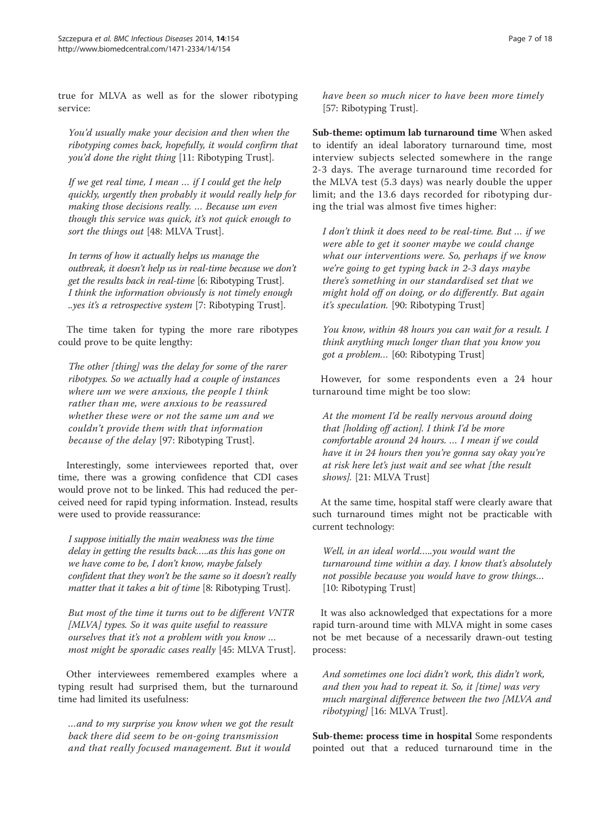true for MLVA as well as for the slower ribotyping service:

You'd usually make your decision and then when the ribotyping comes back, hopefully, it would confirm that you'd done the right thing [11: Ribotyping Trust].

If we get real time, I mean … if I could get the help quickly, urgently then probably it would really help for making those decisions really. … Because um even though this service was quick, it's not quick enough to sort the things out [48: MLVA Trust].

In terms of how it actually helps us manage the outbreak, it doesn't help us in real-time because we don't get the results back in real-time [6: Ribotyping Trust]. I think the information obviously is not timely enough ..yes it's a retrospective system [7: Ribotyping Trust].

The time taken for typing the more rare ribotypes could prove to be quite lengthy:

The other [thing] was the delay for some of the rarer ribotypes. So we actually had a couple of instances where um we were anxious, the people I think rather than me, were anxious to be reassured whether these were or not the same um and we couldn't provide them with that information because of the delay [97: Ribotyping Trust].

Interestingly, some interviewees reported that, over time, there was a growing confidence that CDI cases would prove not to be linked. This had reduced the perceived need for rapid typing information. Instead, results were used to provide reassurance:

I suppose initially the main weakness was the time delay in getting the results back…..as this has gone on we have come to be, I don't know, maybe falsely confident that they won't be the same so it doesn't really matter that it takes a bit of time [8: Ribotyping Trust].

But most of the time it turns out to be different VNTR [MLVA] types. So it was quite useful to reassure ourselves that it's not a problem with you know … most might be sporadic cases really [45: MLVA Trust].

Other interviewees remembered examples where a typing result had surprised them, but the turnaround time had limited its usefulness:

…and to my surprise you know when we got the result back there did seem to be on-going transmission and that really focused management. But it would

have been so much nicer to have been more timely [57: Ribotyping Trust].

Sub-theme: optimum lab turnaround time When asked to identify an ideal laboratory turnaround time, most interview subjects selected somewhere in the range 2-3 days. The average turnaround time recorded for the MLVA test (5.3 days) was nearly double the upper limit; and the 13.6 days recorded for ribotyping during the trial was almost five times higher:

I don't think it does need to be real-time. But … if we were able to get it sooner maybe we could change what our interventions were. So, perhaps if we know we're going to get typing back in 2-3 days maybe there's something in our standardised set that we might hold off on doing, or do differently. But again it's speculation. [90: Ribotyping Trust]

You know, within 48 hours you can wait for a result. I think anything much longer than that you know you got a problem… [60: Ribotyping Trust]

However, for some respondents even a 24 hour turnaround time might be too slow:

At the moment I'd be really nervous around doing that [holding off action]. I think I'd be more comfortable around 24 hours. … I mean if we could have it in 24 hours then you're gonna say okay you're at risk here let's just wait and see what [the result shows]. [21: MLVA Trust]

At the same time, hospital staff were clearly aware that such turnaround times might not be practicable with current technology:

Well, in an ideal world…..you would want the turnaround time within a day. I know that's absolutely not possible because you would have to grow things… [10: Ribotyping Trust]

It was also acknowledged that expectations for a more rapid turn-around time with MLVA might in some cases not be met because of a necessarily drawn-out testing process:

And sometimes one loci didn't work, this didn't work, and then you had to repeat it. So, it [time] was very much marginal difference between the two [MLVA and ribotyping] [16: MLVA Trust].

Sub-theme: process time in hospital Some respondents pointed out that a reduced turnaround time in the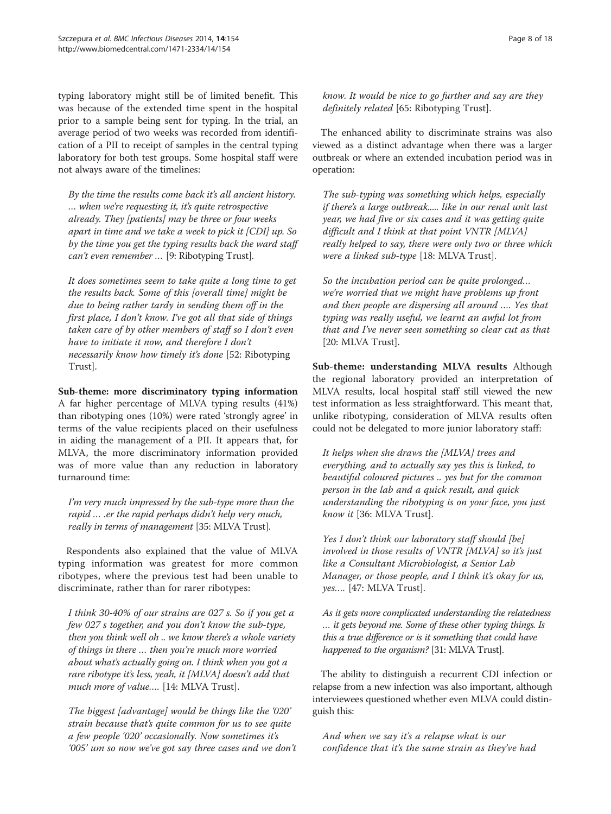typing laboratory might still be of limited benefit. This was because of the extended time spent in the hospital prior to a sample being sent for typing. In the trial, an average period of two weeks was recorded from identification of a PII to receipt of samples in the central typing laboratory for both test groups. Some hospital staff were not always aware of the timelines:

By the time the results come back it's all ancient history. … when we're requesting it, it's quite retrospective already. They [patients] may be three or four weeks apart in time and we take a week to pick it [CDI] up. So by the time you get the typing results back the ward staff can't even remember … [9: Ribotyping Trust].

It does sometimes seem to take quite a long time to get the results back. Some of this [overall time] might be due to being rather tardy in sending them off in the first place, I don't know. I've got all that side of things taken care of by other members of staff so I don't even have to initiate it now, and therefore I don't necessarily know how timely it's done [52: Ribotyping Trust].

Sub-theme: more discriminatory typing information A far higher percentage of MLVA typing results (41%) than ribotyping ones (10%) were rated 'strongly agree' in terms of the value recipients placed on their usefulness in aiding the management of a PII. It appears that, for MLVA, the more discriminatory information provided was of more value than any reduction in laboratory turnaround time:

I'm very much impressed by the sub-type more than the rapid … .er the rapid perhaps didn't help very much, really in terms of management [35: MLVA Trust].

Respondents also explained that the value of MLVA typing information was greatest for more common ribotypes, where the previous test had been unable to discriminate, rather than for rarer ribotypes:

I think 30-40% of our strains are 027 s. So if you get a few 027 s together, and you don't know the sub-type, then you think well oh .. we know there's a whole variety of things in there … then you're much more worried about what's actually going on. I think when you got a rare ribotype it's less, yeah, it [MLVA] doesn't add that much more of value.... [14: MLVA Trust].

The biggest [advantage] would be things like the '020' strain because that's quite common for us to see quite a few people '020' occasionally. Now sometimes it's '005' um so now we've got say three cases and we don't know. It would be nice to go further and say are they definitely related [65: Ribotyping Trust].

The enhanced ability to discriminate strains was also viewed as a distinct advantage when there was a larger outbreak or where an extended incubation period was in operation:

The sub-typing was something which helps, especially if there's a large outbreak..... like in our renal unit last year, we had five or six cases and it was getting quite difficult and I think at that point VNTR [MLVA] really helped to say, there were only two or three which were a linked sub-type [18: MLVA Trust].

So the incubation period can be quite prolonged… we're worried that we might have problems up front and then people are dispersing all around …. Yes that typing was really useful, we learnt an awful lot from that and I've never seen something so clear cut as that [20: MLVA Trust].

Sub-theme: understanding MLVA results Although the regional laboratory provided an interpretation of MLVA results, local hospital staff still viewed the new test information as less straightforward. This meant that, unlike ribotyping, consideration of MLVA results often could not be delegated to more junior laboratory staff:

It helps when she draws the [MLVA] trees and everything, and to actually say yes this is linked, to beautiful coloured pictures .. yes but for the common person in the lab and a quick result, and quick understanding the ribotyping is on your face, you just know it [36: MLVA Trust].

Yes I don't think our laboratory staff should [be] involved in those results of VNTR [MLVA] so it's just like a Consultant Microbiologist, a Senior Lab Manager, or those people, and I think it's okay for us, yes…. [47: MLVA Trust].

As it gets more complicated understanding the relatedness … it gets beyond me. Some of these other typing things. Is this a true difference or is it something that could have happened to the organism? [31: MLVA Trust].

The ability to distinguish a recurrent CDI infection or relapse from a new infection was also important, although interviewees questioned whether even MLVA could distinguish this:

And when we say it's a relapse what is our confidence that it's the same strain as they've had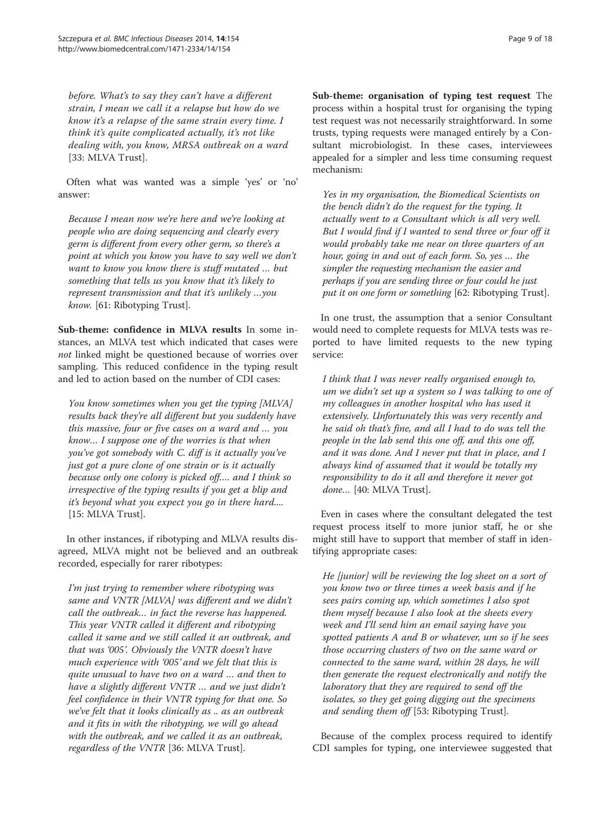before. What's to say they can't have a different strain, I mean we call it a relapse but how do we know it's a relapse of the same strain every time. I think it's quite complicated actually, it's not like dealing with, you know, MRSA outbreak on a ward [33: MLVA Trust].

Often what was wanted was a simple 'yes' or 'no' answer:

Because I mean now we're here and we're looking at people who are doing sequencing and clearly every germ is different from every other germ, so there's a point at which you know you have to say well we don't want to know you know there is stuff mutated … but something that tells us you know that it's likely to represent transmission and that it's unlikely …you know. [61: Ribotyping Trust].

Sub-theme: confidence in MLVA results In some instances, an MLVA test which indicated that cases were not linked might be questioned because of worries over sampling. This reduced confidence in the typing result and led to action based on the number of CDI cases:

You know sometimes when you get the typing [MLVA] results back they're all different but you suddenly have this massive, four or five cases on a ward and … you know… I suppose one of the worries is that when you've got somebody with C. diff is it actually you've just got a pure clone of one strain or is it actually because only one colony is picked off…. and I think so irrespective of the typing results if you get a blip and it's beyond what you expect you go in there hard.... [15: MLVA Trust].

In other instances, if ribotyping and MLVA results disagreed, MLVA might not be believed and an outbreak recorded, especially for rarer ribotypes:

I'm just trying to remember where ribotyping was same and VNTR [MLVA] was different and we didn't call the outbreak… in fact the reverse has happened. This year VNTR called it different and ribotyping called it same and we still called it an outbreak, and that was '005'. Obviously the VNTR doesn't have much experience with '005' and we felt that this is quite unusual to have two on a ward … and then to have a slightly different VNTR … and we just didn't feel confidence in their VNTR typing for that one. So we've felt that it looks clinically as .. as an outbreak and it fits in with the ribotyping, we will go ahead with the outbreak, and we called it as an outbreak, regardless of the VNTR [36: MLVA Trust].

Sub-theme: organisation of typing test request The process within a hospital trust for organising the typing test request was not necessarily straightforward. In some trusts, typing requests were managed entirely by a Consultant microbiologist. In these cases, interviewees appealed for a simpler and less time consuming request mechanism:

Yes in my organisation, the Biomedical Scientists on the bench didn't do the request for the typing. It actually went to a Consultant which is all very well. But I would find if I wanted to send three or four off it would probably take me near on three quarters of an hour, going in and out of each form. So, yes … the simpler the requesting mechanism the easier and perhaps if you are sending three or four could he just put it on one form or something [62: Ribotyping Trust].

In one trust, the assumption that a senior Consultant would need to complete requests for MLVA tests was reported to have limited requests to the new typing service:

I think that I was never really organised enough to, um we didn't set up a system so I was talking to one of my colleagues in another hospital who has used it extensively. Unfortunately this was very recently and he said oh that's fine, and all I had to do was tell the people in the lab send this one off, and this one off, and it was done. And I never put that in place, and I always kind of assumed that it would be totally my responsibility to do it all and therefore it never got done… [40: MLVA Trust].

Even in cases where the consultant delegated the test request process itself to more junior staff, he or she might still have to support that member of staff in identifying appropriate cases:

He [junior] will be reviewing the log sheet on a sort of you know two or three times a week basis and if he sees pairs coming up, which sometimes I also spot them myself because I also look at the sheets every week and I'll send him an email saying have you spotted patients A and B or whatever, um so if he sees those occurring clusters of two on the same ward or connected to the same ward, within 28 days, he will then generate the request electronically and notify the laboratory that they are required to send off the isolates, so they get going digging out the specimens and sending them off [53: Ribotyping Trust].

Because of the complex process required to identify CDI samples for typing, one interviewee suggested that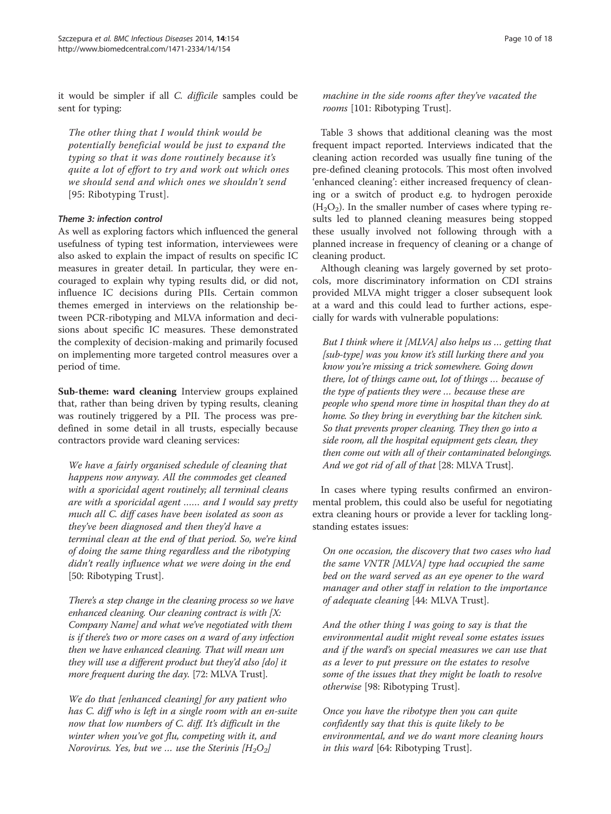it would be simpler if all C. difficile samples could be sent for typing:

The other thing that I would think would be potentially beneficial would be just to expand the typing so that it was done routinely because it's quite a lot of effort to try and work out which ones we should send and which ones we shouldn't send [95: Ribotyping Trust].

### Theme 3: infection control

As well as exploring factors which influenced the general usefulness of typing test information, interviewees were also asked to explain the impact of results on specific IC measures in greater detail. In particular, they were encouraged to explain why typing results did, or did not, influence IC decisions during PIIs. Certain common themes emerged in interviews on the relationship between PCR-ribotyping and MLVA information and decisions about specific IC measures. These demonstrated the complexity of decision-making and primarily focused on implementing more targeted control measures over a period of time.

Sub-theme: ward cleaning Interview groups explained that, rather than being driven by typing results, cleaning was routinely triggered by a PII. The process was predefined in some detail in all trusts, especially because contractors provide ward cleaning services:

We have a fairly organised schedule of cleaning that happens now anyway. All the commodes get cleaned with a sporicidal agent routinely; all terminal cleans are with a sporicidal agent …… and I would say pretty much all C. diff cases have been isolated as soon as they've been diagnosed and then they'd have a terminal clean at the end of that period. So, we're kind of doing the same thing regardless and the ribotyping didn't really influence what we were doing in the end [50: Ribotyping Trust].

There's a step change in the cleaning process so we have enhanced cleaning. Our cleaning contract is with [X: Company Name] and what we've negotiated with them is if there's two or more cases on a ward of any infection then we have enhanced cleaning. That will mean um they will use a different product but they'd also [do] it more frequent during the day. [72: MLVA Trust].

We do that [enhanced cleaning] for any patient who has C. diff who is left in a single room with an en-suite now that low numbers of C. diff. It's difficult in the winter when you've got flu, competing with it, and Norovirus. Yes, but we ... use the Sterinis  $[H_2O_2]$ 

machine in the side rooms after they've vacated the rooms [101: Ribotyping Trust].

Table [3](#page-5-0) shows that additional cleaning was the most frequent impact reported. Interviews indicated that the cleaning action recorded was usually fine tuning of the pre-defined cleaning protocols. This most often involved 'enhanced cleaning': either increased frequency of cleaning or a switch of product e.g. to hydrogen peroxide  $(H<sub>2</sub>O<sub>2</sub>)$ . In the smaller number of cases where typing results led to planned cleaning measures being stopped these usually involved not following through with a planned increase in frequency of cleaning or a change of cleaning product.

Although cleaning was largely governed by set protocols, more discriminatory information on CDI strains provided MLVA might trigger a closer subsequent look at a ward and this could lead to further actions, especially for wards with vulnerable populations:

But I think where it [MLVA] also helps us … getting that [sub-type] was you know it's still lurking there and you know you're missing a trick somewhere. Going down there, lot of things came out, lot of things … because of the type of patients they were … because these are people who spend more time in hospital than they do at home. So they bring in everything bar the kitchen sink. So that prevents proper cleaning. They then go into a side room, all the hospital equipment gets clean, they then come out with all of their contaminated belongings. And we got rid of all of that [28: MLVA Trust].

In cases where typing results confirmed an environmental problem, this could also be useful for negotiating extra cleaning hours or provide a lever for tackling longstanding estates issues:

On one occasion, the discovery that two cases who had the same VNTR [MLVA] type had occupied the same bed on the ward served as an eye opener to the ward manager and other staff in relation to the importance of adequate cleaning [44: MLVA Trust].

And the other thing I was going to say is that the environmental audit might reveal some estates issues and if the ward's on special measures we can use that as a lever to put pressure on the estates to resolve some of the issues that they might be loath to resolve otherwise [98: Ribotyping Trust].

Once you have the ribotype then you can quite confidently say that this is quite likely to be environmental, and we do want more cleaning hours in this ward [64: Ribotyping Trust].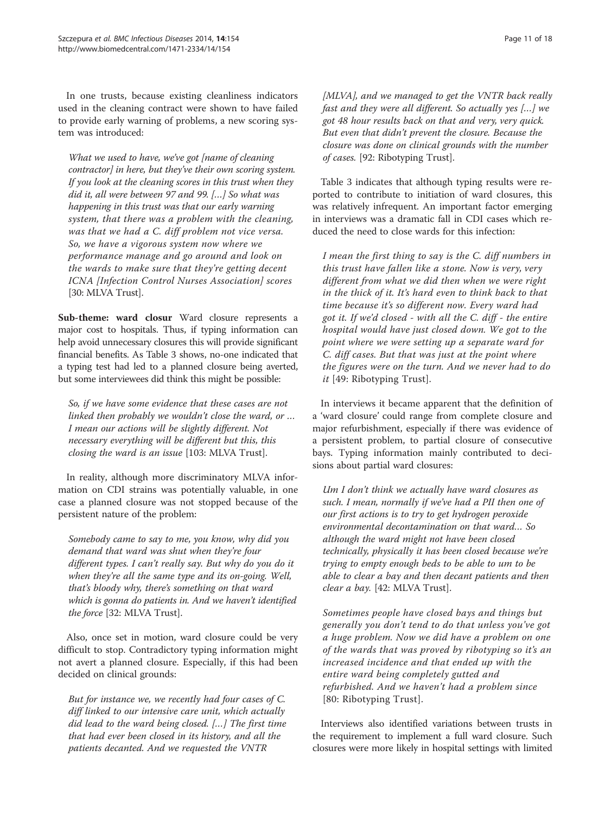In one trusts, because existing cleanliness indicators used in the cleaning contract were shown to have failed to provide early warning of problems, a new scoring system was introduced:

What we used to have, we've got [name of cleaning contractor] in here, but they've their own scoring system. If you look at the cleaning scores in this trust when they did it, all were between 97 and 99. […] So what was happening in this trust was that our early warning system, that there was a problem with the cleaning, was that we had a C. diff problem not vice versa. So, we have a vigorous system now where we performance manage and go around and look on the wards to make sure that they're getting decent ICNA [Infection Control Nurses Association] scores [30: MLVA Trust].

Sub-theme: ward closur Ward closure represents a major cost to hospitals. Thus, if typing information can help avoid unnecessary closures this will provide significant financial benefits. As Table [3](#page-5-0) shows, no-one indicated that a typing test had led to a planned closure being averted, but some interviewees did think this might be possible:

So, if we have some evidence that these cases are not linked then probably we wouldn't close the ward, or … I mean our actions will be slightly different. Not necessary everything will be different but this, this closing the ward is an issue [103: MLVA Trust].

In reality, although more discriminatory MLVA information on CDI strains was potentially valuable, in one case a planned closure was not stopped because of the persistent nature of the problem:

Somebody came to say to me, you know, why did you demand that ward was shut when they're four different types. I can't really say. But why do you do it when they're all the same type and its on-going. Well, that's bloody why, there's something on that ward which is gonna do patients in. And we haven't identified the force [32: MLVA Trust].

Also, once set in motion, ward closure could be very difficult to stop. Contradictory typing information might not avert a planned closure. Especially, if this had been decided on clinical grounds:

But for instance we, we recently had four cases of C. diff linked to our intensive care unit, which actually did lead to the ward being closed. […] The first time that had ever been closed in its history, and all the patients decanted. And we requested the VNTR

[MLVA], and we managed to get the VNTR back really fast and they were all different. So actually yes […] we got 48 hour results back on that and very, very quick. But even that didn't prevent the closure. Because the closure was done on clinical grounds with the number of cases. [92: Ribotyping Trust].

Table [3](#page-5-0) indicates that although typing results were reported to contribute to initiation of ward closures, this was relatively infrequent. An important factor emerging in interviews was a dramatic fall in CDI cases which reduced the need to close wards for this infection:

I mean the first thing to say is the C. diff numbers in this trust have fallen like a stone. Now is very, very different from what we did then when we were right in the thick of it. It's hard even to think back to that time because it's so different now. Every ward had got it. If we'd closed - with all the C. diff - the entire hospital would have just closed down. We got to the point where we were setting up a separate ward for C. diff cases. But that was just at the point where the figures were on the turn. And we never had to do it [49: Ribotyping Trust].

In interviews it became apparent that the definition of a 'ward closure' could range from complete closure and major refurbishment, especially if there was evidence of a persistent problem, to partial closure of consecutive bays. Typing information mainly contributed to decisions about partial ward closures:

Um I don't think we actually have ward closures as such. I mean, normally if we've had a PII then one of our first actions is to try to get hydrogen peroxide environmental decontamination on that ward… So although the ward might not have been closed technically, physically it has been closed because we're trying to empty enough beds to be able to um to be able to clear a bay and then decant patients and then clear a bay. [42: MLVA Trust].

Sometimes people have closed bays and things but generally you don't tend to do that unless you've got a huge problem. Now we did have a problem on one of the wards that was proved by ribotyping so it's an increased incidence and that ended up with the entire ward being completely gutted and refurbished. And we haven't had a problem since [80: Ribotyping Trust].

Interviews also identified variations between trusts in the requirement to implement a full ward closure. Such closures were more likely in hospital settings with limited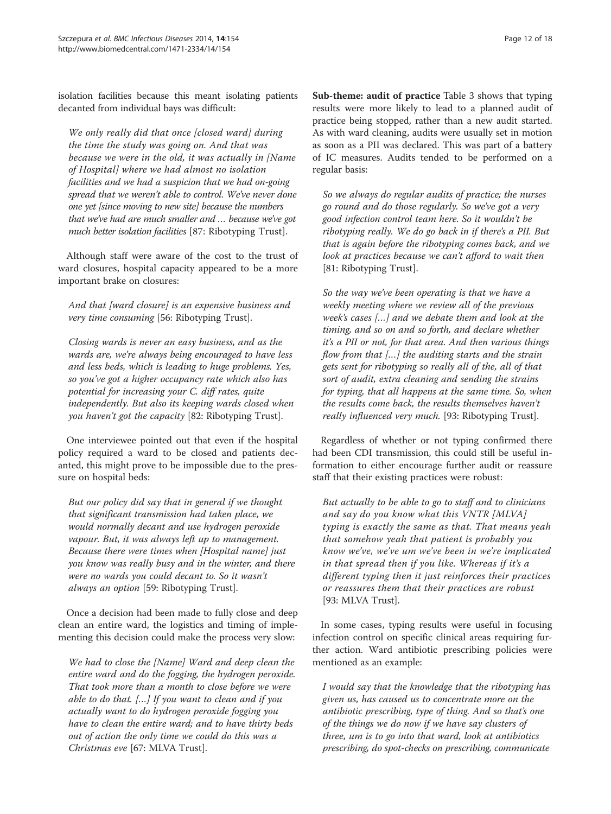isolation facilities because this meant isolating patients decanted from individual bays was difficult:

We only really did that once [closed ward] during the time the study was going on. And that was because we were in the old, it was actually in [Name of Hospital] where we had almost no isolation facilities and we had a suspicion that we had on-going spread that we weren't able to control. We've never done one yet [since moving to new site] because the numbers that we've had are much smaller and … because we've got much better isolation facilities [87: Ribotyping Trust].

Although staff were aware of the cost to the trust of ward closures, hospital capacity appeared to be a more important brake on closures:

And that [ward closure] is an expensive business and very time consuming [56: Ribotyping Trust].

Closing wards is never an easy business, and as the wards are, we're always being encouraged to have less and less beds, which is leading to huge problems. Yes, so you've got a higher occupancy rate which also has potential for increasing your C. diff rates, quite independently. But also its keeping wards closed when you haven't got the capacity [82: Ribotyping Trust].

One interviewee pointed out that even if the hospital policy required a ward to be closed and patients decanted, this might prove to be impossible due to the pressure on hospital beds:

But our policy did say that in general if we thought that significant transmission had taken place, we would normally decant and use hydrogen peroxide vapour. But, it was always left up to management. Because there were times when [Hospital name] just you know was really busy and in the winter, and there were no wards you could decant to. So it wasn't always an option [59: Ribotyping Trust].

Once a decision had been made to fully close and deep clean an entire ward, the logistics and timing of implementing this decision could make the process very slow:

We had to close the [Name] Ward and deep clean the entire ward and do the fogging, the hydrogen peroxide. That took more than a month to close before we were able to do that. […] If you want to clean and if you actually want to do hydrogen peroxide fogging you have to clean the entire ward; and to have thirty beds out of action the only time we could do this was a Christmas eve [67: MLVA Trust].

results were more likely to lead to a planned audit of practice being stopped, rather than a new audit started. As with ward cleaning, audits were usually set in motion as soon as a PII was declared. This was part of a battery of IC measures. Audits tended to be performed on a regular basis:

So we always do regular audits of practice; the nurses go round and do those regularly. So we've got a very good infection control team here. So it wouldn't be ribotyping really. We do go back in if there's a PII. But that is again before the ribotyping comes back, and we look at practices because we can't afford to wait then [81: Ribotyping Trust].

So the way we've been operating is that we have a weekly meeting where we review all of the previous week's cases […] and we debate them and look at the timing, and so on and so forth, and declare whether it's a PII or not, for that area. And then various things flow from that [...] the auditing starts and the strain gets sent for ribotyping so really all of the, all of that sort of audit, extra cleaning and sending the strains for typing, that all happens at the same time. So, when the results come back, the results themselves haven't really influenced very much. [93: Ribotyping Trust].

Regardless of whether or not typing confirmed there had been CDI transmission, this could still be useful information to either encourage further audit or reassure staff that their existing practices were robust:

But actually to be able to go to staff and to clinicians and say do you know what this VNTR [MLVA] typing is exactly the same as that. That means yeah that somehow yeah that patient is probably you know we've, we've um we've been in we're implicated in that spread then if you like. Whereas if it's a different typing then it just reinforces their practices or reassures them that their practices are robust [93: MLVA Trust].

In some cases, typing results were useful in focusing infection control on specific clinical areas requiring further action. Ward antibiotic prescribing policies were mentioned as an example:

I would say that the knowledge that the ribotyping has given us, has caused us to concentrate more on the antibiotic prescribing, type of thing. And so that's one of the things we do now if we have say clusters of three, um is to go into that ward, look at antibiotics prescribing, do spot-checks on prescribing, communicate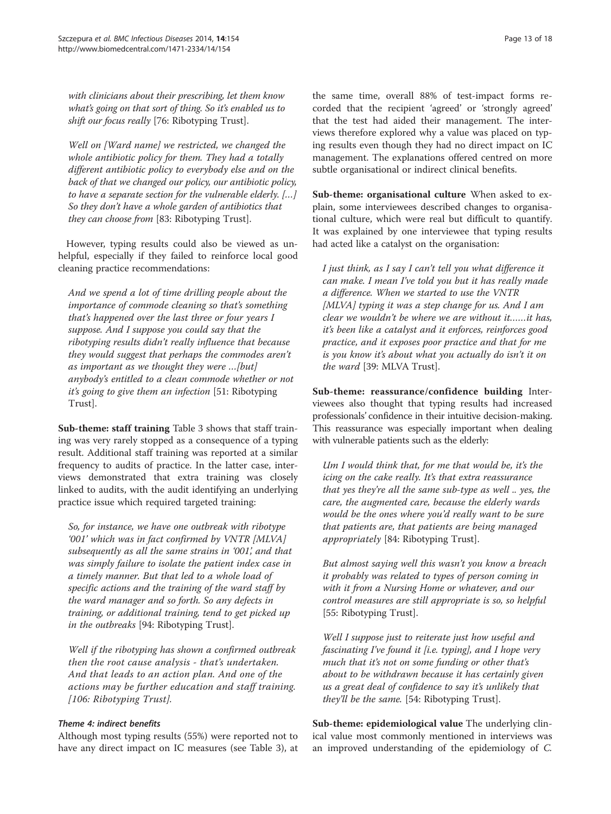with clinicians about their prescribing, let them know what's going on that sort of thing. So it's enabled us to shift our focus really [76: Ribotyping Trust].

Well on [Ward name] we restricted, we changed the whole antibiotic policy for them. They had a totally different antibiotic policy to everybody else and on the back of that we changed our policy, our antibiotic policy, to have a separate section for the vulnerable elderly. […] So they don't have a whole garden of antibiotics that they can choose from [83: Ribotyping Trust].

However, typing results could also be viewed as unhelpful, especially if they failed to reinforce local good cleaning practice recommendations:

And we spend a lot of time drilling people about the importance of commode cleaning so that's something that's happened over the last three or four years I suppose. And I suppose you could say that the ribotyping results didn't really influence that because they would suggest that perhaps the commodes aren't as important as we thought they were …[but] anybody's entitled to a clean commode whether or not it's going to give them an infection [51: Ribotyping Trust].

Sub-theme: staff training Table [3](#page-5-0) shows that staff training was very rarely stopped as a consequence of a typing result. Additional staff training was reported at a similar frequency to audits of practice. In the latter case, interviews demonstrated that extra training was closely linked to audits, with the audit identifying an underlying practice issue which required targeted training:

So, for instance, we have one outbreak with ribotype '001' which was in fact confirmed by VNTR [MLVA] subsequently as all the same strains in '001', and that was simply failure to isolate the patient index case in a timely manner. But that led to a whole load of specific actions and the training of the ward staff by the ward manager and so forth. So any defects in training, or additional training, tend to get picked up in the outbreaks [94: Ribotyping Trust].

Well if the ribotyping has shown a confirmed outbreak then the root cause analysis - that's undertaken. And that leads to an action plan. And one of the actions may be further education and staff training. [106: Ribotyping Trust].

### Theme 4: indirect benefits

Although most typing results (55%) were reported not to have any direct impact on IC measures (see Table [3](#page-5-0)), at

the same time, overall 88% of test-impact forms recorded that the recipient 'agreed' or 'strongly agreed' that the test had aided their management. The interviews therefore explored why a value was placed on typing results even though they had no direct impact on IC management. The explanations offered centred on more subtle organisational or indirect clinical benefits.

Sub-theme: organisational culture When asked to explain, some interviewees described changes to organisational culture, which were real but difficult to quantify. It was explained by one interviewee that typing results had acted like a catalyst on the organisation:

I just think, as I say I can't tell you what difference it can make. I mean I've told you but it has really made a difference. When we started to use the VNTR [MLVA] typing it was a step change for us. And I am clear we wouldn't be where we are without it……it has, it's been like a catalyst and it enforces, reinforces good practice, and it exposes poor practice and that for me is you know it's about what you actually do isn't it on the ward [39: MLVA Trust].

Sub-theme: reassurance/confidence building Interviewees also thought that typing results had increased professionals' confidence in their intuitive decision-making. This reassurance was especially important when dealing with vulnerable patients such as the elderly:

Um I would think that, for me that would be, it's the icing on the cake really. It's that extra reassurance that yes they're all the same sub-type as well .. yes, the care, the augmented care, because the elderly wards would be the ones where you'd really want to be sure that patients are, that patients are being managed appropriately [84: Ribotyping Trust].

But almost saying well this wasn't you know a breach it probably was related to types of person coming in with it from a Nursing Home or whatever, and our control measures are still appropriate is so, so helpful [55: Ribotyping Trust].

Well I suppose just to reiterate just how useful and fascinating I've found it [i.e. typing], and I hope very much that it's not on some funding or other that's about to be withdrawn because it has certainly given us a great deal of confidence to say it's unlikely that they'll be the same. [54: Ribotyping Trust].

Sub-theme: epidemiological value The underlying clinical value most commonly mentioned in interviews was an improved understanding of the epidemiology of C.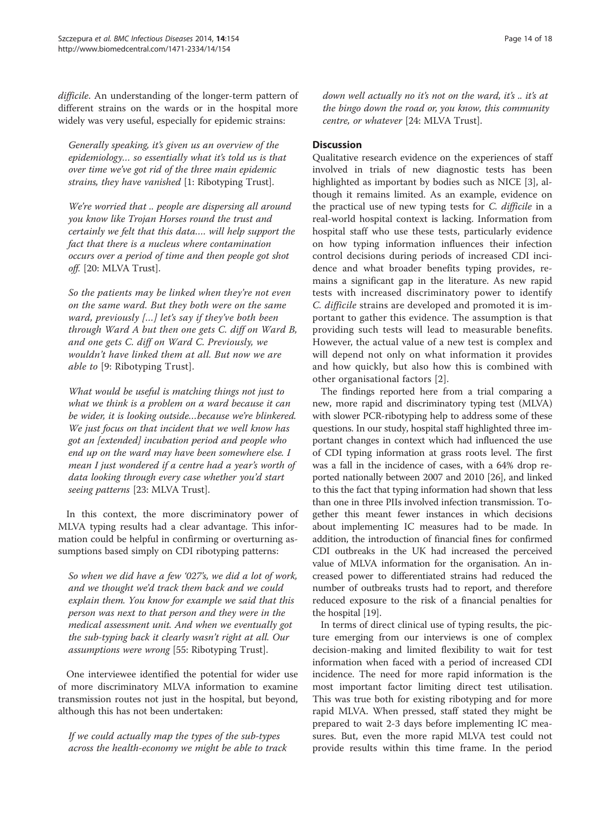difficile. An understanding of the longer-term pattern of different strains on the wards or in the hospital more widely was very useful, especially for epidemic strains:

Generally speaking, it's given us an overview of the epidemiology… so essentially what it's told us is that over time we've got rid of the three main epidemic strains, they have vanished [1: Ribotyping Trust].

We're worried that .. people are dispersing all around you know like Trojan Horses round the trust and certainly we felt that this data…. will help support the fact that there is a nucleus where contamination occurs over a period of time and then people got shot off. [20: MLVA Trust].

So the patients may be linked when they're not even on the same ward. But they both were on the same ward, previously [...] let's say if they've both been through Ward A but then one gets C. diff on Ward B, and one gets C. diff on Ward C. Previously, we wouldn't have linked them at all. But now we are able to [9: Ribotyping Trust].

What would be useful is matching things not just to what we think is a problem on a ward because it can be wider, it is looking outside…because we're blinkered. We just focus on that incident that we well know has got an [extended] incubation period and people who end up on the ward may have been somewhere else. I mean I just wondered if a centre had a year's worth of data looking through every case whether you'd start seeing patterns [23: MLVA Trust].

In this context, the more discriminatory power of MLVA typing results had a clear advantage. This information could be helpful in confirming or overturning assumptions based simply on CDI ribotyping patterns:

So when we did have a few '027's, we did a lot of work, and we thought we'd track them back and we could explain them. You know for example we said that this person was next to that person and they were in the medical assessment unit. And when we eventually got the sub-typing back it clearly wasn't right at all. Our assumptions were wrong [55: Ribotyping Trust].

One interviewee identified the potential for wider use of more discriminatory MLVA information to examine transmission routes not just in the hospital, but beyond, although this has not been undertaken:

If we could actually map the types of the sub-types across the health-economy we might be able to track down well actually no it's not on the ward, it's .. it's at the bingo down the road or, you know, this community centre, or whatever [24: MLVA Trust].

# **Discussion**

Qualitative research evidence on the experiences of staff involved in trials of new diagnostic tests has been highlighted as important by bodies such as NICE [[3](#page-17-0)], although it remains limited. As an example, evidence on the practical use of new typing tests for C. difficile in a real-world hospital context is lacking. Information from hospital staff who use these tests, particularly evidence on how typing information influences their infection control decisions during periods of increased CDI incidence and what broader benefits typing provides, remains a significant gap in the literature. As new rapid tests with increased discriminatory power to identify C. difficile strains are developed and promoted it is important to gather this evidence. The assumption is that providing such tests will lead to measurable benefits. However, the actual value of a new test is complex and will depend not only on what information it provides and how quickly, but also how this is combined with other organisational factors [[2](#page-17-0)].

The findings reported here from a trial comparing a new, more rapid and discriminatory typing test (MLVA) with slower PCR-ribotyping help to address some of these questions. In our study, hospital staff highlighted three important changes in context which had influenced the use of CDI typing information at grass roots level. The first was a fall in the incidence of cases, with a 64% drop reported nationally between 2007 and 2010 [\[26\]](#page-17-0), and linked to this the fact that typing information had shown that less than one in three PIIs involved infection transmission. Together this meant fewer instances in which decisions about implementing IC measures had to be made. In addition, the introduction of financial fines for confirmed CDI outbreaks in the UK had increased the perceived value of MLVA information for the organisation. An increased power to differentiated strains had reduced the number of outbreaks trusts had to report, and therefore reduced exposure to the risk of a financial penalties for the hospital [\[19\]](#page-17-0).

In terms of direct clinical use of typing results, the picture emerging from our interviews is one of complex decision-making and limited flexibility to wait for test information when faced with a period of increased CDI incidence. The need for more rapid information is the most important factor limiting direct test utilisation. This was true both for existing ribotyping and for more rapid MLVA. When pressed, staff stated they might be prepared to wait 2-3 days before implementing IC measures. But, even the more rapid MLVA test could not provide results within this time frame. In the period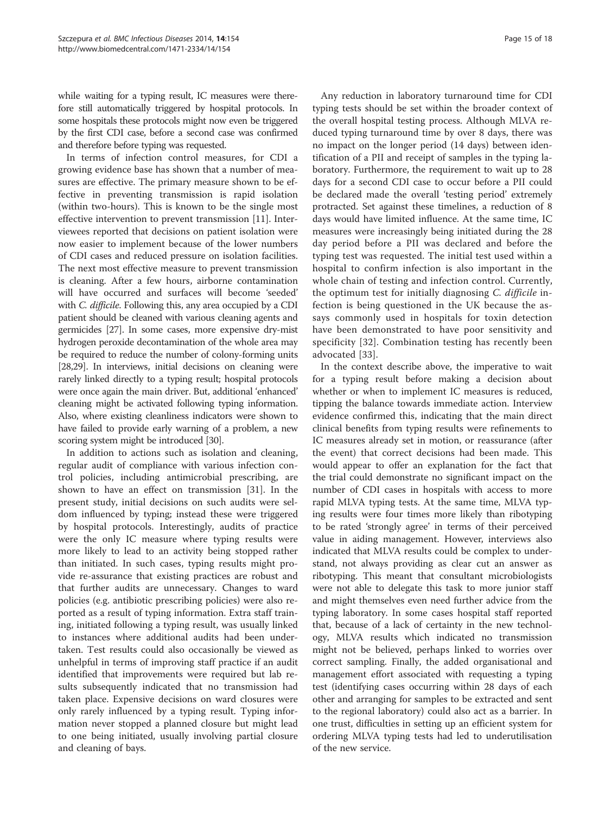while waiting for a typing result, IC measures were therefore still automatically triggered by hospital protocols. In some hospitals these protocols might now even be triggered by the first CDI case, before a second case was confirmed and therefore before typing was requested.

In terms of infection control measures, for CDI a growing evidence base has shown that a number of measures are effective. The primary measure shown to be effective in preventing transmission is rapid isolation (within two-hours). This is known to be the single most effective intervention to prevent transmission [\[11](#page-17-0)]. Interviewees reported that decisions on patient isolation were now easier to implement because of the lower numbers of CDI cases and reduced pressure on isolation facilities. The next most effective measure to prevent transmission is cleaning. After a few hours, airborne contamination will have occurred and surfaces will become 'seeded' with C. difficile. Following this, any area occupied by a CDI patient should be cleaned with various cleaning agents and germicides [\[27\]](#page-17-0). In some cases, more expensive dry-mist hydrogen peroxide decontamination of the whole area may be required to reduce the number of colony-forming units [[28,29\]](#page-17-0). In interviews, initial decisions on cleaning were rarely linked directly to a typing result; hospital protocols were once again the main driver. But, additional 'enhanced' cleaning might be activated following typing information. Also, where existing cleanliness indicators were shown to have failed to provide early warning of a problem, a new scoring system might be introduced [[30](#page-17-0)].

In addition to actions such as isolation and cleaning, regular audit of compliance with various infection control policies, including antimicrobial prescribing, are shown to have an effect on transmission [[31](#page-17-0)]. In the present study, initial decisions on such audits were seldom influenced by typing; instead these were triggered by hospital protocols. Interestingly, audits of practice were the only IC measure where typing results were more likely to lead to an activity being stopped rather than initiated. In such cases, typing results might provide re-assurance that existing practices are robust and that further audits are unnecessary. Changes to ward policies (e.g. antibiotic prescribing policies) were also reported as a result of typing information. Extra staff training, initiated following a typing result, was usually linked to instances where additional audits had been undertaken. Test results could also occasionally be viewed as unhelpful in terms of improving staff practice if an audit identified that improvements were required but lab results subsequently indicated that no transmission had taken place. Expensive decisions on ward closures were only rarely influenced by a typing result. Typing information never stopped a planned closure but might lead to one being initiated, usually involving partial closure and cleaning of bays.

Any reduction in laboratory turnaround time for CDI typing tests should be set within the broader context of the overall hospital testing process. Although MLVA reduced typing turnaround time by over 8 days, there was no impact on the longer period (14 days) between identification of a PII and receipt of samples in the typing laboratory. Furthermore, the requirement to wait up to 28 days for a second CDI case to occur before a PII could be declared made the overall 'testing period' extremely protracted. Set against these timelines, a reduction of 8 days would have limited influence. At the same time, IC measures were increasingly being initiated during the 28 day period before a PII was declared and before the typing test was requested. The initial test used within a hospital to confirm infection is also important in the whole chain of testing and infection control. Currently, the optimum test for initially diagnosing C. difficile infection is being questioned in the UK because the assays commonly used in hospitals for toxin detection have been demonstrated to have poor sensitivity and specificity [[32\]](#page-17-0). Combination testing has recently been advocated [[33](#page-17-0)].

In the context describe above, the imperative to wait for a typing result before making a decision about whether or when to implement IC measures is reduced, tipping the balance towards immediate action. Interview evidence confirmed this, indicating that the main direct clinical benefits from typing results were refinements to IC measures already set in motion, or reassurance (after the event) that correct decisions had been made. This would appear to offer an explanation for the fact that the trial could demonstrate no significant impact on the number of CDI cases in hospitals with access to more rapid MLVA typing tests. At the same time, MLVA typing results were four times more likely than ribotyping to be rated 'strongly agree' in terms of their perceived value in aiding management. However, interviews also indicated that MLVA results could be complex to understand, not always providing as clear cut an answer as ribotyping. This meant that consultant microbiologists were not able to delegate this task to more junior staff and might themselves even need further advice from the typing laboratory. In some cases hospital staff reported that, because of a lack of certainty in the new technology, MLVA results which indicated no transmission might not be believed, perhaps linked to worries over correct sampling. Finally, the added organisational and management effort associated with requesting a typing test (identifying cases occurring within 28 days of each other and arranging for samples to be extracted and sent to the regional laboratory) could also act as a barrier. In one trust, difficulties in setting up an efficient system for ordering MLVA typing tests had led to underutilisation of the new service.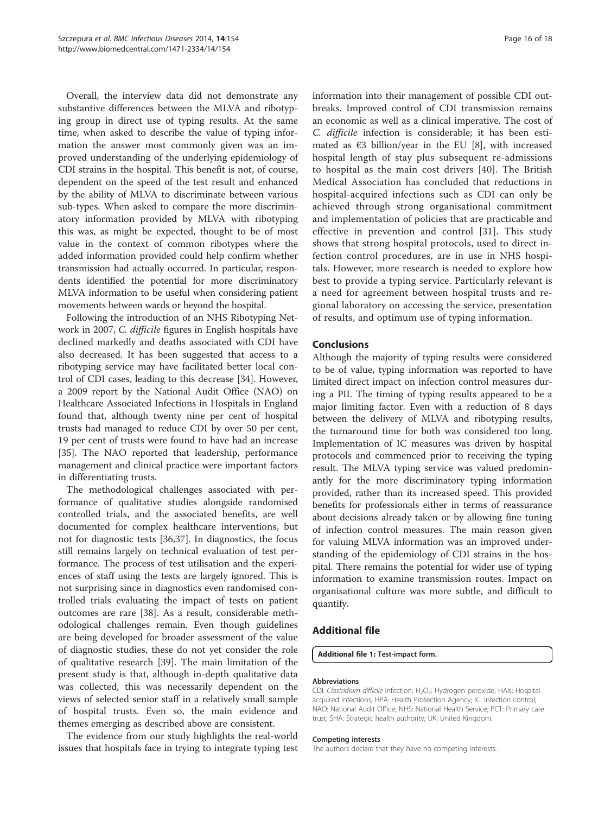<span id="page-16-0"></span>Overall, the interview data did not demonstrate any substantive differences between the MLVA and ribotyping group in direct use of typing results. At the same time, when asked to describe the value of typing information the answer most commonly given was an improved understanding of the underlying epidemiology of CDI strains in the hospital. This benefit is not, of course, dependent on the speed of the test result and enhanced by the ability of MLVA to discriminate between various sub-types. When asked to compare the more discriminatory information provided by MLVA with ribotyping this was, as might be expected, thought to be of most value in the context of common ribotypes where the added information provided could help confirm whether transmission had actually occurred. In particular, respondents identified the potential for more discriminatory MLVA information to be useful when considering patient movements between wards or beyond the hospital.

Following the introduction of an NHS Ribotyping Network in 2007, C. difficile figures in English hospitals have declined markedly and deaths associated with CDI have also decreased. It has been suggested that access to a ribotyping service may have facilitated better local control of CDI cases, leading to this decrease [\[34](#page-17-0)]. However, a 2009 report by the National Audit Office (NAO) on Healthcare Associated Infections in Hospitals in England found that, although twenty nine per cent of hospital trusts had managed to reduce CDI by over 50 per cent, 19 per cent of trusts were found to have had an increase [[35\]](#page-17-0). The NAO reported that leadership, performance management and clinical practice were important factors in differentiating trusts.

The methodological challenges associated with performance of qualitative studies alongside randomised controlled trials, and the associated benefits, are well documented for complex healthcare interventions, but not for diagnostic tests [[36,](#page-17-0)[37\]](#page-18-0). In diagnostics, the focus still remains largely on technical evaluation of test performance. The process of test utilisation and the experiences of staff using the tests are largely ignored. This is not surprising since in diagnostics even randomised controlled trials evaluating the impact of tests on patient outcomes are rare [[38\]](#page-18-0). As a result, considerable methodological challenges remain. Even though guidelines are being developed for broader assessment of the value of diagnostic studies, these do not yet consider the role of qualitative research [[39\]](#page-18-0). The main limitation of the present study is that, although in-depth qualitative data was collected, this was necessarily dependent on the views of selected senior staff in a relatively small sample of hospital trusts. Even so, the main evidence and themes emerging as described above are consistent.

The evidence from our study highlights the real-world issues that hospitals face in trying to integrate typing test information into their management of possible CDI outbreaks. Improved control of CDI transmission remains an economic as well as a clinical imperative. The cost of C. difficile infection is considerable; it has been estimated as  $€3$  billion/year in the EU [\[8\]](#page-17-0), with increased hospital length of stay plus subsequent re-admissions to hospital as the main cost drivers [[40\]](#page-18-0). The British Medical Association has concluded that reductions in hospital-acquired infections such as CDI can only be achieved through strong organisational commitment and implementation of policies that are practicable and effective in prevention and control [[31\]](#page-17-0). This study shows that strong hospital protocols, used to direct infection control procedures, are in use in NHS hospitals. However, more research is needed to explore how best to provide a typing service. Particularly relevant is a need for agreement between hospital trusts and regional laboratory on accessing the service, presentation of results, and optimum use of typing information.

## Conclusions

Although the majority of typing results were considered to be of value, typing information was reported to have limited direct impact on infection control measures during a PII. The timing of typing results appeared to be a major limiting factor. Even with a reduction of 8 days between the delivery of MLVA and ribotyping results, the turnaround time for both was considered too long. Implementation of IC measures was driven by hospital protocols and commenced prior to receiving the typing result. The MLVA typing service was valued predominantly for the more discriminatory typing information provided, rather than its increased speed. This provided benefits for professionals either in terms of reassurance about decisions already taken or by allowing fine tuning of infection control measures. The main reason given for valuing MLVA information was an improved understanding of the epidemiology of CDI strains in the hospital. There remains the potential for wider use of typing information to examine transmission routes. Impact on organisational culture was more subtle, and difficult to quantify.

# Additional file

#### [Additional file 1:](http://www.biomedcentral.com/content/supplementary/1471-2334-14-154-S1.docx) Test-impact form.

#### Abbreviations

CDI: Clostridium difficile infection; H<sub>2</sub>O<sub>2</sub>: Hydrogen peroxide; HAIs: Hospital acquired infections; HPA: Health Protection Agency; IC: Infection control; NAO: National Audit Office; NHS: National Health Service; PCT: Primary care trust; SHA: Strategic health authority; UK: United Kingdom.

#### Competing interests

The authors declare that they have no competing interests.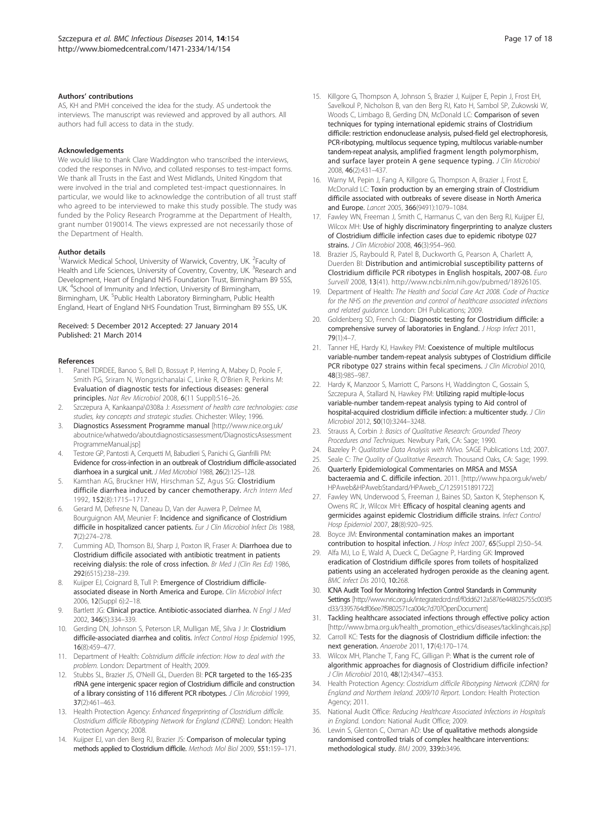#### <span id="page-17-0"></span>Authors' contributions

AS, KH and PMH conceived the idea for the study. AS undertook the interviews. The manuscript was reviewed and approved by all authors. All authors had full access to data in the study.

#### Acknowledgements

We would like to thank Clare Waddington who transcribed the interviews, coded the responses in NVivo, and collated responses to test-impact forms. We thank all Trusts in the East and West Midlands, United Kingdom that were involved in the trial and completed test-impact questionnaires. In particular, we would like to acknowledge the contribution of all trust staff who agreed to be interviewed to make this study possible. The study was funded by the Policy Research Programme at the Department of Health, grant number 0190014. The views expressed are not necessarily those of the Department of Health.

#### Author details

<sup>1</sup>Warwick Medical School, University of Warwick, Coventry, UK.<sup>2</sup>Faculty of Health and Life Sciences, University of Coventry, Coventry, UK. <sup>3</sup>Research and Development, Heart of England NHS Foundation Trust, Birmingham B9 5SS, UK. <sup>4</sup>School of Immunity and Infection, University of Birmingham, Birmingham, UK. <sup>5</sup>Public Health Laboratory Birmingham, Public Health England, Heart of England NHS Foundation Trust, Birmingham B9 5SS, UK.

#### Received: 5 December 2012 Accepted: 27 January 2014 Published: 21 March 2014

#### References

- 1. Panel TDRDEE, Banoo S, Bell D, Bossuyt P, Herring A, Mabey D, Poole F, Smith PG, Sriram N, Wongsrichanalai C, Linke R, O'Brien R, Perkins M: Evaluation of diagnostic tests for infectious diseases: general principles. Nat Rev Microbiol 2008, 6(11 Suppl):S16–26.
- Szczepura A, Kankaanpa\0308a J: Assessment of health care technologies: case studies, key concepts and strategic studies. Chichester: Wiley; 1996.
- 3. Diagnostics Assessment Programme manual [\[http://www.nice.org.uk/](http://www.nice.org.uk/aboutnice/whatwedo/aboutdiagnosticsassessment/DiagnosticsAssessmentProgrammeManual.jsp) [aboutnice/whatwedo/aboutdiagnosticsassessment/DiagnosticsAssessment](http://www.nice.org.uk/aboutnice/whatwedo/aboutdiagnosticsassessment/DiagnosticsAssessmentProgrammeManual.jsp) [ProgrammeManual.jsp](http://www.nice.org.uk/aboutnice/whatwedo/aboutdiagnosticsassessment/DiagnosticsAssessmentProgrammeManual.jsp)]
- 4. Testore GP, Pantosti A, Cerquetti M, Babudieri S, Panichi G, Gianfrilli PM: Evidence for cross-infection in an outbreak of Clostridium difficile-associated diarrhoea in a surgical unit. J Med Microbiol 1988, 26(2):125-128.
- 5. Kamthan AG, Bruckner HW, Hirschman SZ, Agus SG: Clostridium difficile diarrhea induced by cancer chemotherapy. Arch Intern Med 1992, 152(8):1715–1717.
- 6. Gerard M, Defresne N, Daneau D, Van der Auwera P, Delmee M, Bourguignon AM, Meunier F: Incidence and significance of Clostridium difficile in hospitalized cancer patients. Eur J Clin Microbiol Infect Dis 1988, 7(2):274–278.
- 7. Cumming AD, Thomson BJ, Sharp J, Poxton IR, Fraser A: Diarrhoea due to Clostridium difficile associated with antibiotic treatment in patients receiving dialysis: the role of cross infection. Br Med J (Clin Res Ed) 1986, 292(6515):238–239.
- 8. Kuijper EJ, Coignard B, Tull P: Emergence of Clostridium difficileassociated disease in North America and Europe. Clin Microbiol Infect 2006, 12(Suppl 6):2–18.
- 9. Bartlett JG: Clinical practice. Antibiotic-associated diarrhea. N Engl J Med 2002, 346(5):334–339.
- 10. Gerding DN, Johnson S, Peterson LR, Mulligan ME, Silva J Jr: Clostridium difficile-associated diarrhea and colitis. Infect Control Hosp Epidemiol 1995, 16(8):459–477.
- 11. Department of Health: Colstridium difficile infection: How to deal with the problem. London: Department of Health; 2009.
- 12. Stubbs SL, Brazier JS, O'Neill GL, Duerden BI: PCR targeted to the 16S-23S rRNA gene intergenic spacer region of Clostridium difficile and construction of a library consisting of 116 different PCR ribotypes. J Clin Microbiol 1999, 37(2):461–463.
- 13. Health Protection Agency: Enhanced fingerprinting of Clostridium difficile. Clostridium difficile Ribotyping Network for England (CDRNE). London: Health Protection Agency; 2008.
- 14. Kuijper EJ, van den Berg RJ, Brazier JS: Comparison of molecular typing methods applied to Clostridium difficile. Methods Mol Biol 2009, 551:159–171.
- 15. Killgore G, Thompson A, Johnson S, Brazier J, Kuijper E, Pepin J, Frost EH, Savelkoul P, Nicholson B, van den Berg RJ, Kato H, Sambol SP, Zukowski W, Woods C, Limbago B, Gerding DN, McDonald LC: Comparison of seven techniques for typing international epidemic strains of Clostridium difficile: restriction endonuclease analysis, pulsed-field gel electrophoresis, PCR-ribotyping, multilocus sequence typing, multilocus variable-number tandem-repeat analysis, amplified fragment length polymorphism, and surface layer protein A gene sequence typing. J Clin Microbiol 2008, 46(2):431–437.
- 16. Warny M, Pepin J, Fang A, Killgore G, Thompson A, Brazier J, Frost E, McDonald LC: Toxin production by an emerging strain of Clostridium difficile associated with outbreaks of severe disease in North America and Europe. Lancet 2005, 366(9491):1079–1084.
- 17. Fawley WN, Freeman J, Smith C, Harmanus C, van den Berg RJ, Kuijper EJ, Wilcox MH: Use of highly discriminatory fingerprinting to analyze clusters of Clostridium difficile infection cases due to epidemic ribotype 027 strains. J Clin Microbiol 2008, 46(3):954–960.
- Brazier JS, Raybould R, Patel B, Duckworth G, Pearson A, Charlett A, Duerden BI: Distribution and antimicrobial susceptibility patterns of Clostridium difficile PCR ribotypes in English hospitals, 2007-08. Euro Surveill 2008, 13(41).<http://www.ncbi.nlm.nih.gov/pubmed/18926105>.
- 19. Department of Health: The Health and Social Care Act 2008. Code of Practice for the NHS on the prevention and control of healthcare associated infections and related guidance. London: DH Publications; 2009.
- 20. Goldenberg SD, French GL: Diagnostic testing for Clostridium difficile: a comprehensive survey of laboratories in England. J Hosp Infect 2011, 79(1):4–7.
- 21. Tanner HE, Hardy KJ, Hawkey PM: Coexistence of multiple multilocus variable-number tandem-repeat analysis subtypes of Clostridium difficile PCR ribotype 027 strains within fecal specimens. *J Clin Microbiol* 2010, 48(3):985–987.
- 22. Hardy K, Manzoor S, Marriott C, Parsons H, Waddington C, Gossain S, Szczepura A, Stallard N, Hawkey PM: Utilizing rapid multiple-locus variable-number tandem-repeat analysis typing to Aid control of hospital-acquired clostridium difficile infection: a multicenter study. J Clin Microbiol 2012, 50(10):3244–3248.
- 23. Strauss A, Corbin J: Basics of Qualitative Research: Grounded Theory Procedures and Techniques. Newbury Park, CA: Sage; 1990.
- 24. Bazeley P: Qualitative Data Analysis with NVivo. SAGE Publications Ltd; 2007.
- 25. Seale C: The Quality of Qualitative Research. Thousand Oaks, CA: Sage; 1999.
- 26. Quarterly Epidemiological Commentaries on MRSA and MSSA bacteraemia and C. difficile infection. 2011. [[http://www.hpa.org.uk/web/](http://www.hpa.org.uk/web/HPAweb&HPAwebStandard/HPAweb_C/1259151891722) [HPAweb&HPAwebStandard/HPAweb\\_C/1259151891722\]](http://www.hpa.org.uk/web/HPAweb&HPAwebStandard/HPAweb_C/1259151891722)
- 27. Fawley WN, Underwood S, Freeman J, Baines SD, Saxton K, Stephenson K, Owens RC Jr, Wilcox MH: Efficacy of hospital cleaning agents and germicides against epidemic Clostridium difficile strains. Infect Control Hosp Epidemiol 2007, 28(8):920–925.
- 28. Boyce JM: Environmental contamination makes an important contribution to hospital infection. J Hosp Infect 2007, 65(Suppl 2):50-54.
- 29. Alfa MJ, Lo E, Wald A, Dueck C, DeGagne P, Harding GK: Improved eradication of Clostridium difficile spores from toilets of hospitalized patients using an accelerated hydrogen peroxide as the cleaning agent. BMC Infect Dis 2010, 10:268.
- 30. ICNA Audit Tool for Monitoring Infection Control Standards in Community Settings [\[http://www.nric.org.uk/integratedcrd.nsf/f0dd6212a5876e448025755c003f5](http://www.nric.org.uk/integratedcrd.nsf/f0dd6212a5876e448025755c003f5d33/3395764df06ee7f9802571ca004c7d70?OpenDocument) [d33/3395764df06ee7f9802571ca004c7d70?OpenDocument](http://www.nric.org.uk/integratedcrd.nsf/f0dd6212a5876e448025755c003f5d33/3395764df06ee7f9802571ca004c7d70?OpenDocument)]
- 31. Tackling healthcare associated infections through effective policy action [[http://www.bma.org.uk/health\\_promotion\\_ethics/diseases/tacklinghcais.jsp\]](http://www.bma.org.uk/health_promotion_ethics/diseases/tacklinghcais.jsp)
- 32. Carroll KC: Tests for the diagnosis of Clostridium difficile infection: the next generation. Anaerobe 2011, 17(4):170–174.
- 33. Wilcox MH, Planche T, Fang FC, Gilligan P: What is the current role of algorithmic approaches for diagnosis of Clostridium difficile infection? J Clin Microbiol 2010, 48(12):4347–4353.
- 34. Health Protection Agency: Clostridium difficile Ribotyping Network (CDRN) for England and Northern Ireland. 2009/10 Report. London: Health Protection Agency; 2011.
- 35. National Audit Office: Reducing Healthcare Associated Infections in Hospitals in England. London: National Audit Office; 2009.
- 36. Lewin S, Glenton C, Oxman AD: Use of qualitative methods alongside randomised controlled trials of complex healthcare interventions: methodological study. BMJ 2009, 339:b3496.